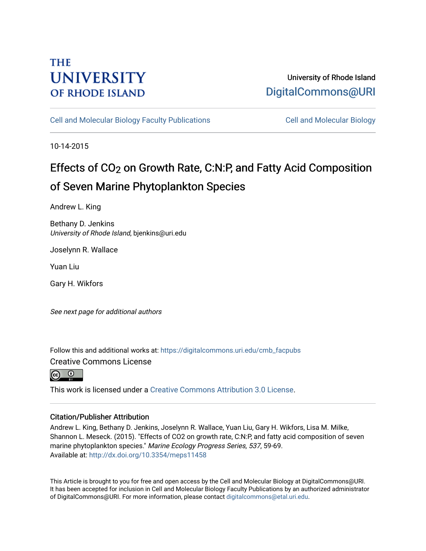## **THE UNIVERSITY OF RHODE ISLAND**

### University of Rhode Island [DigitalCommons@URI](https://digitalcommons.uri.edu/)

[Cell and Molecular Biology Faculty Publications](https://digitalcommons.uri.edu/cmb_facpubs) [Cell and Molecular Biology](https://digitalcommons.uri.edu/cmb) 

10-14-2015

# Effects of CO2 on Growth Rate, C:N:P, and Fatty Acid Composition of Seven Marine Phytoplankton Species

Andrew L. King

Bethany D. Jenkins University of Rhode Island, bjenkins@uri.edu

Joselynn R. Wallace

Yuan Liu

Gary H. Wikfors

See next page for additional authors

Follow this and additional works at: [https://digitalcommons.uri.edu/cmb\\_facpubs](https://digitalcommons.uri.edu/cmb_facpubs?utm_source=digitalcommons.uri.edu%2Fcmb_facpubs%2F24&utm_medium=PDF&utm_campaign=PDFCoverPages)  Creative Commons License



This work is licensed under a [Creative Commons Attribution 3.0 License](https://creativecommons.org/licenses/by/3.0/).

### Citation/Publisher Attribution

Andrew L. King, Bethany D. Jenkins, Joselynn R. Wallace, Yuan Liu, Gary H. Wikfors, Lisa M. Milke, Shannon L. Meseck. (2015). "Effects of CO2 on growth rate, C:N:P, and fatty acid composition of seven marine phytoplankton species." Marine Ecology Progress Series, 537, 59-69. Available at:<http://dx.doi.org/10.3354/meps11458>

This Article is brought to you for free and open access by the Cell and Molecular Biology at DigitalCommons@URI. It has been accepted for inclusion in Cell and Molecular Biology Faculty Publications by an authorized administrator of DigitalCommons@URI. For more information, please contact [digitalcommons@etal.uri.edu](mailto:digitalcommons@etal.uri.edu).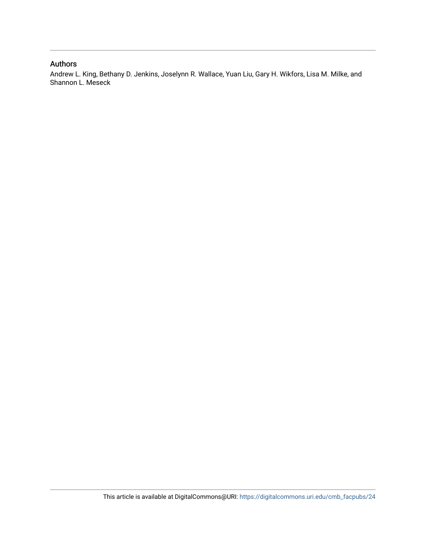### Authors

Andrew L. King, Bethany D. Jenkins, Joselynn R. Wallace, Yuan Liu, Gary H. Wikfors, Lisa M. Milke, and Shannon L. Meseck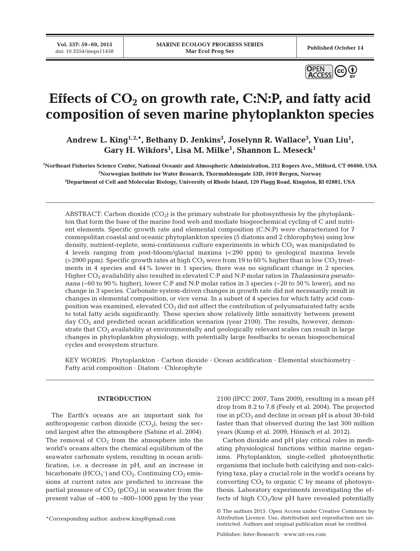**Vol. 537: 59–69, 2015**



## Effects of  $CO<sub>2</sub>$  on growth rate, C:N:P, and fatty acid **composition of seven marine phytoplankton species**

Andrew L. King<sup>1,2,\*</sup>, Bethany D. Jenkins<sup>3</sup>, Joselynn R. Wallace<sup>3</sup>, Yuan Liu<sup>1</sup>,  $\rm{Gary~H.~Wikfors^1,~Lisa~M.~Milke^1,~Shannon~L.~Meseck^1}$ 

**1 Northeast Fisheries Science Center, National Oceanic and Atmospheric Administration, 212 Rogers Ave., Milford, CT 06460, USA 2 Norwegian Institute for Water Research, Thormøhlensgate 53D, 5010 Bergen, Norway**

**3 Department of Cell and Molecular Biology, University of Rhode Island, 120 Flagg Road, Kingston, RI 02881, USA**

ABSTRACT: Carbon dioxide  $(CO_2)$  is the primary substrate for photosynthesis by the phytoplankton that form the base of the marine food web and mediate biogeochemical cycling of C and nutrient elements. Specific growth rate and elemental composition (C:N:P) were characterized for 7 cosmopolitan coastal and oceanic phytoplankton species (5 diatoms and 2 chlorophytes) using low density, nutrient-replete, semi-continuous culture experiments in which  $CO<sub>2</sub>$  was manipulated to 4 levels ranging from post-bloom/glacial maxima (<290 ppm) to geological maxima levels ( $>2900$  ppm). Specific growth rates at high CO<sub>2</sub> were from 19 to 60% higher than in low CO<sub>2</sub> treatments in 4 species and 44% lower in 1 species; there was no significant change in 2 species. Higher CO2 availability also resulted in elevated C:P and N:P molar ratios in *Thalassiosira pseudonana* (~60 to 90% higher), lower C:P and N:P molar ratios in 3 species (~20 to 50% lower), and no change in 3 species. Carbonate system-driven changes in growth rate did not necessarily result in changes in elemental composition, or vice versa. In a subset of 4 species for which fatty acid composition was examined, elevated  $CO<sub>2</sub>$  did not affect the contribution of polyunsaturated fatty acids to total fatty acids significantly. These species show relatively little sensitivity between present day  $CO<sub>2</sub>$  and predicted ocean acidification scenarios (year 2100). The results, however, demonstrate that CO<sub>2</sub> availability at environmentally and geologically relevant scales can result in large changes in phytoplankton physiology, with potentially large feedbacks to ocean biogeochemical cycles and ecosystem structure.

KEY WORDS: Phytoplankton · Carbon dioxide · Ocean acidification · Elemental stoichiometry · Fatty acid composition · Diatom · Chlorophyte

#### **INTRODUCTION**

The Earth's oceans are an important sink for anthropogenic carbon dioxide  $(CO<sub>2</sub>)$ , being the second largest after the atmosphere (Sabine et al. 2004). The removal of  $CO<sub>2</sub>$  from the atmosphere into the world's oceans alters the chemical equilibrium of the seawater carbonate system, resulting in ocean acidification, i.e. a decrease in pH, and an increase in bicarbonate  $(HCO<sub>3</sub><sup>-</sup>)$  and  $CO<sub>2</sub>$ . Continuing  $CO<sub>2</sub>$  emissions at current rates are predicted to increase the partial pressure of  $CO<sub>2</sub>$  (pCO<sub>2</sub>) in seawater from the present value of ~400 to ~800−1000 ppm by the year

 $2100$  (IPCC 2007, Tans 2009), resulting in a mean pH drop from 8.2 to 7.8 (Feely et al. 2004). The projected rise in  $pCO<sub>2</sub>$  and decline in ocean  $pH$  is about 30-fold faster than that observed during the last 300 million years (Kump et al. 2009, Hönisch et al. 2012).

Carbon dioxide and pH play critical roles in mediating physiological functions within marine organisms. Phytoplankton, single-celled photosynthetic organisms that include both calcifying and non-calcifying taxa, play a crucial role in the world's oceans by converting  $CO<sub>2</sub>$  to organic C by means of photosynthesis. Laboratory experiments investigating the ef fects of high  $CO<sub>2</sub>/low$  pH have revealed potentially

<sup>©</sup> The authors 2015. Open Access under Creative Commons by Attribution Licence. Use, distribution and reproduction are unrestricted. Authors and original publication must be credited.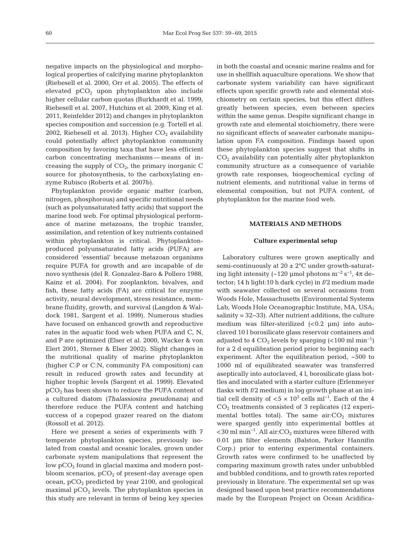negative impacts on the physiological and morphological properties of calcifying marine phytoplankton (Riebesell et al. 2000, Orr et al. 2005). The effects of elevated  $pCO<sub>2</sub>$  upon phytoplankton also include higher cellular carbon quotas (Burkhardt et al. 1999, Riebesell et al. 2007, Hutchins et al. 2009, King et al. 2011, Reinfelder 2012) and changes in phytoplankton species composition and succession (e.g. Tortell et al. 2002, Riebesell et al. 2013). Higher  $CO<sub>2</sub>$  availability could potentially affect phytoplankton community composition by favoring taxa that have less efficient carbon concentrating mechanisms — means of in creasing the supply of  $CO<sub>2</sub>$ , the primary inorganic C source for photosynthesis, to the carboxylating enzyme Rubisco (Roberts et al. 2007b).

Phytoplankton provide organic matter (carbon, nitrogen, phosphorous) and specific nutritional needs (such as polyunsaturated fatty acids) that support the marine food web. For optimal physiological performance of marine metazoans, the trophic transfer, assimilation, and retention of key nutrients contained within phytoplankton is critical. Phytoplanktonproduced polyunsaturated fatty acids (PUFA) are considered 'essential' because metazoan organisms require PUFA for growth and are incapable of de novo synthesis (del R. Gonzalez-Baro & Pollero 1988, Kainz et al. 2004). For zooplankton, bivalves, and fish, these fatty acids (FA) are critical for enzyme activity, neural development, stress resistance, membrane fluidity, growth, and survival (Langdon & Waldock 1981, Sargent et al. 1999). Numerous studies have focused on enhanced growth and reproductive rates in the aquatic food web when PUFA and C, N, and P are optimized (Elser et al. 2000, Wacker & von Elert 2001, Sterner & Elser 2002). Slight changes in the nutritional quality of marine phytoplankton (higher C:P or C:N, community FA composition) can result in reduced growth rates and fecundity at higher trophic levels (Sargent et al. 1999). Elevated  $pCO<sub>2</sub>$  has been shown to reduce the PUFA content of a cultured dia tom *(Thalassiosira pseudonana)* and therefore reduce the PUFA content and hatching success of a copepod grazer reared on the diatom (Rossoll et al. 2012).

Here we present a series of experiments with 7 temperate phytoplankton species, previously isolated from coastal and oceanic locales, grown under carbonate system manipulations that represent the low  $pCO<sub>2</sub>$  found in glacial maxima and modern postbloom scenarios,  $pCO<sub>2</sub>$  of present-day average open ocean,  $pCO<sub>2</sub>$  predicted by year 2100, and geological maximal  $pCO<sub>2</sub>$  levels. The phytoplankton species in this study are relevant in terms of being key species in both the coastal and oceanic marine realms and for use in shellfish aquaculture operations. We show that carbonate system variability can have significant effects upon specific growth rate and elemental stoichiometry on certain species, but this effect differs greatly between species, even between species within the same genus. Despite significant change in growth rate and elemental stoichiometry, there were no significant effects of seawater carbonate manipulation upon FA composition. Findings based upon these phytoplankton species suggest that shifts in CO2 availability can potentially alter phytoplankton community structure as a consequence of variable growth rate responses, biogeochemical cycling of nutrient elements, and nutritional value in terms of elemental composition, but not PUFA content, of phytoplankton for the marine food web.

#### **MATERIALS AND METHODS**

#### **Culture experimental setup**

Laboratory cultures were grown aseptically and semi-continuously at  $20 \pm 2$ °C under growth-saturating light intensity (~120 µmol photons  $m^{-2} s^{-1}$ ,  $4\pi$  detector; 14 h light:10 h dark cycle) in *f*/2 medium made with seawater collected on several occasions from Woods Hole, Massachusetts (Environmental Systems Lab, Woods Hole Oceanographic Institute, MA, USA; salinity = 32−33). After nutrient additions, the culture medium was filter-sterilized  $( $0.2 \mu m$ )$  into autoclaved 10 l borosilicate glass reservoir containers and adjusted to 4  $CO<sub>2</sub>$  levels by sparging (<100 ml min<sup>-1</sup>) for a 2 d equilibration period prior to beginning each experiment. After the equilibration period, ~500 to 1000 ml of equilibrated seawater was transferred aseptically into autoclaved, 4 l, borosilicate glass bottles and inoculated with a starter culture (Erlenmeyer flasks with *f*/2 medium) in log growth phase at an initial cell density of <5 ×  $10^3$  cells ml<sup>-1</sup>. Each of the 4 CO2 treatments consisted of 3 replicates (12 experimental bottles total). The same  $air:CO<sub>2</sub>$  mixtures were sparged gently into experimental bottles at  $<$ 30 ml min<sup>-1</sup>. All air:CO<sub>2</sub> mixtures were filtered with 0.01 µm filter elements (Balston, Parker Hannifin Corp.) prior to entering experimental containers. Growth rates were confirmed to be unaffected by comparing maximum growth rates under unbubbled and bubbled conditions, and to growth rates reported previously in literature. The experimental set up was designed based upon best practice recommendations made by the European Project on Ocean Acidifica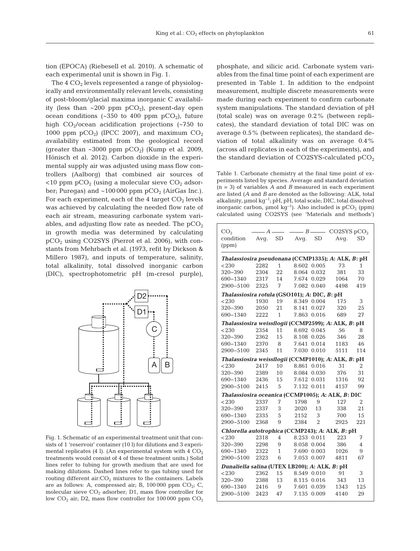tion (EPOCA) (Riebesell et al. 2010). A schematic of each experimental unit is shown in Fig. 1.

The  $4 \text{ CO}_2$  levels represented a range of physiologically and environmentally relevant levels, consisting of post-bloom/glacial maxima inorganic C availability (less than  $\sim 200$  ppm  $pCO_2$ ), present-day open ocean conditions (~350 to 400 ppm  $pCO<sub>2</sub>$ ), future high  $CO_2/ ocean$  acidification projections (~750 to 1000 ppm  $pCO<sub>2</sub>$ ) (IPCC 2007), and maximum  $CO<sub>2</sub>$ availability estimated from the geological record (greater than  $\sim$ 3000 ppm pCO<sub>2</sub>) (Kump et al. 2009, Hönisch et al. 2012). Carbon dioxide in the experimental supply air was adjusted using mass flow controllers (Aalborg) that combined air sources of  $<$ 10 ppm pCO<sub>2</sub> (using a molecular sieve CO<sub>2</sub> adsorber; Puregas) and  $\sim$ 100 000 ppm pCO<sub>2</sub> (AirGas Inc.). For each experiment, each of the 4 target  $CO<sub>2</sub>$  levels was achieved by calculating the needed flow rate of each air stream, measuring carbonate system variables, and adjusting flow rate as needed. The  $pCO<sub>2</sub>$ in growth media was determined by calculating  $pCO<sub>2</sub>$  using CO2SYS (Pierrot et al. 2006), with constants from Mehrbach et al. (1973, refit by Dickson & Millero 1987), and inputs of temperature, salinity, total alkalinity, total dissolved inorganic carbon (DIC), spectrophotometric pH (m-cresol purple),



Fig. 1. Schematic of an experimental treatment unit that consists of 1 'reservoir' container (10 l) for dilutions and 3 experimental replicates (4 l). (An experimental system with  $4 \text{ CO}_2$ ) treatments would consist of 4 of these treatment units.) Solid lines refer to tubing for growth medium that are used for making dilutions. Dashed lines refer to gas tubing used for routing different  $air:CO<sub>2</sub>$  mixtures to the containers. Labels are as follows: A, compressed air; B, 100 000 ppm  $CO_2$ ; C, molecular sieve  $CO<sub>2</sub>$  adsorber; D1, mass flow controller for low  $CO_2$  air; D2, mass flow controller for 100 000 ppm  $CO_2$  phosphate, and silicic acid. Carbonate system variables from the final time point of each experiment are presented in Table 1. In addition to the endpoint measurement, multiple discrete measurements were made during each experiment to confirm carbonate system manipulations. The standard deviation of pH (total scale) was on average  $0.2\%$  (between replicates), the standard deviation of total DIC was on average  $0.5\%$  (between replicates), the standard deviation of total alkalinity was on average 0.4% (across all replicates in each of the experiments), and the standard deviation of CO2SYS-calculated pCO<sub>2</sub>

Table 1. Carbonate chemistry at the final time point of experiments listed by species. Average and standard deviation (n = 3) of variables *A* and *B* measured in each experiment are listed (*A* and *B* are denoted as the following: ALK, total alkalinity, µmol kg−1; pH, pH, total scale; DIC, total dissolved inorganic carbon, µmol kg<sup>-1</sup>). Also included is  $pCO_2$  (ppm) calculated using CO2SYS (see 'Materials and methods')

| CO <sub>2</sub><br>condition<br>(ppm)               | $-A$ —<br>Avq. |                 | $\underline{\hspace{1cm}} B$ $\underline{\hspace{1cm}}$ CO2SYS pCO <sub>2</sub><br>SD Avq.<br><b>SD</b> |                | Avq.           | SD.            |  |  |  |  |  |  |
|-----------------------------------------------------|----------------|-----------------|---------------------------------------------------------------------------------------------------------|----------------|----------------|----------------|--|--|--|--|--|--|
| Thalassiosira pseudonana (CCMP1335); A: ALK, B: pH  |                |                 |                                                                                                         |                |                |                |  |  |  |  |  |  |
| < 230                                               | 2282           | $1 \quad$       |                                                                                                         | 8.602 0.005    | 73             | 1              |  |  |  |  |  |  |
| 320–390                                             | 2304           | 22              | 8.064                                                                                                   | 0.032          | 381            | 33             |  |  |  |  |  |  |
| 690-1340                                            | 2317           | 14              |                                                                                                         | 7.674 0.029    | 1064           | 70             |  |  |  |  |  |  |
| 2900-5100                                           | 2325           | 7               |                                                                                                         | 7.082 0.040    | 4498           | 419            |  |  |  |  |  |  |
| Thalassiosira rotula (GSO101); A: DIC, B: pH        |                |                 |                                                                                                         |                |                |                |  |  |  |  |  |  |
| < 230                                               | 1930           |                 | 19 8.349 0.004                                                                                          |                | 175            | 3              |  |  |  |  |  |  |
| 320-390                                             | 2050           | 21              |                                                                                                         | 8.141 0.027    | 320            | 25             |  |  |  |  |  |  |
| 690-1340                                            | 2222           | $\mathbf{1}$    |                                                                                                         | 7.863 0.016    | 689            | 27             |  |  |  |  |  |  |
| Thalassiosira weissflogii (CCMP2599); A: ALK, B: pH |                |                 |                                                                                                         |                |                |                |  |  |  |  |  |  |
| < 230                                               | 2354           | 11              |                                                                                                         | 8.692 0.045    | -56            | 8              |  |  |  |  |  |  |
| 320-390                                             | 2362           | 15 <sup>7</sup> |                                                                                                         | 8.108 0.026    | 346            | 28             |  |  |  |  |  |  |
| 690-1340                                            | 2370           | - 8             |                                                                                                         | 7.641 0.014    | 1183           | 46             |  |  |  |  |  |  |
| 2900-5100                                           | 2345           | 11              |                                                                                                         | 7.030 0.010    | 5111           | 114            |  |  |  |  |  |  |
| Thalassiosira weissflogii (CCMP1010); A: ALK, B: pH |                |                 |                                                                                                         |                |                |                |  |  |  |  |  |  |
| < 230                                               | 2417 10        |                 |                                                                                                         |                | 8.861 0.016 31 | 2              |  |  |  |  |  |  |
| 320-390                                             | 2389           | 10              |                                                                                                         | 8.084 0.030    | 376            | 31             |  |  |  |  |  |  |
| 690-1340                                            |                |                 | 2436 15 7.612 0.031                                                                                     |                | 1316           | 92             |  |  |  |  |  |  |
| 2900-5100                                           | 2415           | 5               |                                                                                                         | 7.132 0.011    | 4157           | 99             |  |  |  |  |  |  |
| Thalassiosira oceanica (CCMP1005); A: ALK, B: DIC   |                |                 |                                                                                                         |                |                |                |  |  |  |  |  |  |
| < 230                                               | 2337           | 7               | 1798                                                                                                    | 9              | 127            | $\overline{2}$ |  |  |  |  |  |  |
| 320–390                                             | 2337           | 3               | 2020                                                                                                    | 13             | 338            | 21             |  |  |  |  |  |  |
| 690-1340                                            | 2335           | 5               |                                                                                                         | 2152 3         | 700            | 15             |  |  |  |  |  |  |
| 2900-5100                                           | 2368           | 9               | 2384                                                                                                    | $\overline{2}$ | 2925           | 221            |  |  |  |  |  |  |
| Chlorella autotrophica (CCMP243); A: ALK, B: pH     |                |                 |                                                                                                         |                |                |                |  |  |  |  |  |  |
| < 230                                               | 2318           | 4               |                                                                                                         | 8.253 0.011    | 223            | 7              |  |  |  |  |  |  |
| 320-390                                             | 2298           | 9               |                                                                                                         | 8.058 0.004    | 386            | $\overline{4}$ |  |  |  |  |  |  |
| 690-1340                                            | 2322           | 1               |                                                                                                         | 7.690 0.003    | 1026           | 9              |  |  |  |  |  |  |
| 2900-5100                                           | 2323           | 6               |                                                                                                         | 7.053 0.007    | 4811           | 67             |  |  |  |  |  |  |
| Dunaliella salina (UTEX LB200); A: ALK, B: pH       |                |                 |                                                                                                         |                |                |                |  |  |  |  |  |  |
| < 230                                               | 2362           | 15              |                                                                                                         | 8.549 0.010    | 91             | 3              |  |  |  |  |  |  |
| 320–390                                             | 2388           | 13              |                                                                                                         | 8.115 0.016    | 343            | 13             |  |  |  |  |  |  |
| 690-1340                                            | 2416           | -9              | 7.601                                                                                                   | 0.039          | 1343           | 125            |  |  |  |  |  |  |
| 2900-5100                                           | 2423           | 47              | 7.135                                                                                                   | 0.009          | 4140           | 29             |  |  |  |  |  |  |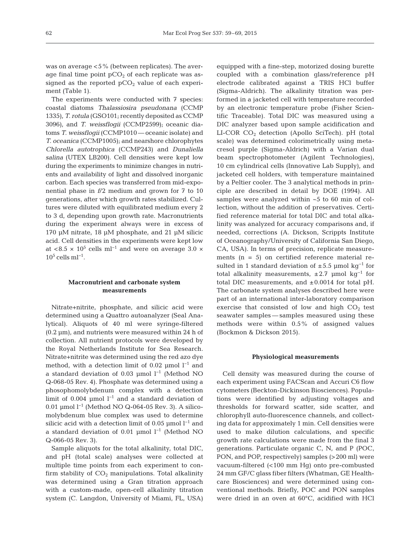was on average <5% (between replicates). The average final time point  $pCO<sub>2</sub>$  of each replicate was assigned as the reported  $pCO<sub>2</sub>$  value of each experiment (Table 1).

The experiments were conducted with 7 species: coastal diatoms *Thalassiosira pseudonana* (CCMP 1335), *T. rotula* (GSO101; recently deposited as CCMP 3096), and *T. weissflogii* (CCMP2599); oceanic dia toms *T. weissflogii* (CCMP1010 — oceanic isolate) and *T. oceanica* (CCMP1005); and nearshore chlorophytes *Chlorella autotrophica* (CCMP243) and *Dunaliella salina* (UTEX LB200). Cell densities were kept low during the experiments to minimize changes in nutrients and availability of light and dissolved inorganic carbon. Each species was transferred from mid-exponential phase in *f*/2 medium and grown for 7 to 10 generations, after which growth rates stabilized. Cultures were diluted with equilibrated medium every 2 to 3 d, depending upon growth rate. Macronutrients during the experiment always were in excess of 170 µM nitrate, 18 µM phosphate, and 21 µM silicic acid. Cell densities in the experiments were kept low at <8.5 ×  $10^5$  cells ml<sup>-1</sup> and were on average 3.0 ×  $10^5$  cells ml<sup>-1</sup>.

#### **Macronutrient and carbonate system measurements**

Nitrate+nitrite, phosphate, and silicic acid were determined using a Quattro autoanalyzer (Seal Ana lytical). Aliquots of 40 ml were syringe-filtered  $(0.2 \mu m)$ , and nutrients were measured within 24 h of collection. All nutrient protocols were developed by the Royal Netherlands Institute for Sea Research. Nitrate+nitrite was determined using the red azo dye method, with a detection limit of 0.02 µmol  $l^{-1}$  and a standard deviation of 0.03 µmol l−1 (Method NO Q-068-05 Rev. 4). Phosphate was determined using a phosophomolybdenum complex with a detection limit of 0.004 µmol  $l^{-1}$  and a standard deviation of 0.01 µmol l−1 (Method NO Q-064-05 Rev. 3). A silicomolybdenum blue complex was used to determine silicic acid with a detection limit of 0.05 µmol  $l^{-1}$  and a standard deviation of 0.01 µmol l−1 (Method NO Q-066-05 Rev. 3).

Sample aliquots for the total alkalinity, total DIC, and pH (total scale) analyses were collected at multiple time points from each experiment to confirm stability of  $CO<sub>2</sub>$  manipulations. Total alkalinity was determined using a Gran titration approach with a custom-made, open-cell alkalinity titration system (C. Langdon, University of Miami, FL, USA)

equipped with a fine-step, motorized dosing burette coupled with a combination glass/reference pH electrode calibrated against a TRIS HCl buffer (Sigma-Aldrich). The alkalinity titration was performed in a jacketed cell with temperature recorded by an electronic temperature probe (Fisher Scientific Traceable). Total DIC was measured using a DIC analyzer based upon sample acidification and LI-COR CO2 detection (Apollo SciTech). pH (total scale) was determined colorimetrically using metacresol purple (Sigma-Aldrich) with a Varian dual beam spectrophotometer (Agilent Technologies), 10 cm cylindrical cells (Innovative Lab Supply), and jacketed cell holders, with temperature maintained by a Peltier cooler. The 3 analytical methods in principle are described in detail by DOE (1994). All samples were analyzed within ~5 to 60 min of collection, without the addition of preservatives. Certified reference material for total DIC and total alkalinity was analyzed for accuracy comparisons and, if needed, corrections (A. Dickson, Scrippts Institute of Oceanography/University of California San Diego, CA, USA). In terms of precision, replicate measurements  $(n = 5)$  on certified reference material resulted in 1 standard deviation of  $\pm 5.5$  µmol kg<sup>-1</sup> for total alkalinity measurements,  $\pm 2.7$  µmol kg<sup>-1</sup> for total DIC measurements, and ±0.0014 for total pH. The carbonate system analyses described here were part of an international inter-laboratory comparison exercise that consisted of low and high  $CO<sub>2</sub>$  test seawater samples — samples measured using these methods were within 0.5% of assigned values (Bockmon & Dickson 2015).

#### **Physiological measurements**

Cell density was measured during the course of each experiment using FACScan and Accuri C6 flow cytometers (Beckton-Dickinson Biosciences). Populations were identified by adjusting voltages and thresholds for forward scatter, side scatter, and chlorophyll auto-fluorescence channels, and collecting data for approximately 1 min. Cell densities were used to make dilution calculations, and specific growth rate calculations were made from the final 3 generations. Particulate organic C, N, and P (POC, PON, and POP, respectively) samples (>200 ml) were vacuum-filtered (<100 mm Hg) onto pre-combusted 24 mm GF/C glass fiber filters (Whatman, GE Healthcare Biosciences) and were determined using conventional methods. Briefly, POC and PON samples were dried in an oven at 60°C, acidified with HCl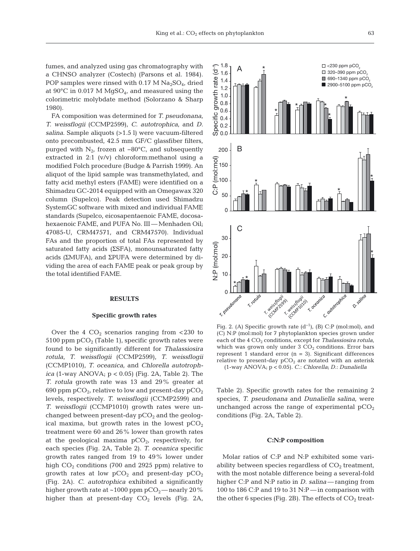fumes, and analyzed using gas chromatography with a CHNSO analyzer (Costech) (Parsons et al. 1984). POP samples were rinsed with 0.17 M  $Na<sub>2</sub>SO<sub>4</sub>$ , dried at  $90^{\circ}$ C in 0.017 M MgSO<sub>4</sub>, and measured using the colorimetric molybdate method (Solorzano & Sharp 1980).

FA composition was determined for *T. pseudonana*, *T. weissflogii* (CCMP2599), *C. autotrophica*, and *D. salina*. Sample aliquots (>1.5 l) were vacuum-filtered onto precombusted, 42.5 mm GF/C glassfiber filters, purged with  $N_{2}$ , frozen at  $-80^{\circ}$ C, and subsequently extracted in 2:1 (v/v) chloroform:methanol using a modified Folch procedure (Budge & Parrish 1999). An aliquot of the lipid sample was transmethylated, and fatty acid methyl esters (FAME) were identified on a Shimadzu GC-2014 equipped with an Omegawax 320 column (Supelco). Peak detection used Shimadzu SystemGC software with mixed and individual FAME standards (Supelco, eicosapentaenoic FAME, docosahexaenoic FAME, and PUFA No. III — Menhaden Oil; 47085-U, CRM47571, and CRM47570). Individual FAs and the proportion of total FAs represented by saturated fatty acids (ΣSFA), monounsaturated fatty acids (ΣMUFA), and ΣPUFA were determined by dividing the area of each FAME peak or peak group by the total identified FAME.

#### **RESULTS**

#### **Specific growth rates**

Over the 4  $CO<sub>2</sub>$  scenarios ranging from <230 to 5100 ppm  $pCO<sub>2</sub>$  (Table 1), specific growth rates were found to be significantly different for *Thalassiosira rotula*, *T. weissflogii* (CCMP2599), *T. weissflogii* (CCMP1010), *T. oceanica*, and *Chlorella autotrophica* (1-way ANOVA; p < 0.05) (Fig. 2A, Table 2). The *T. rotula* growth rate was 13 and 29% greater at 690 ppm  $pCO<sub>2</sub>$ , relative to low and present-day  $pCO<sub>2</sub>$ levels, respectively. *T. weissflogii* (CCMP2599) and *T. weissflogii* (CCMP1010) growth rates were unchanged between present-day  $pCO<sub>2</sub>$  and the geological maxima, but growth rates in the lowest  $pCO<sub>2</sub>$ treatment were 60 and 26% lower than growth rates at the geological maxima  $pCO<sub>2</sub>$ , respectively, for each species (Fig. 2A, Table 2). *T. oceanica* specific growth rates ranged from 19 to 49% lower under high  $CO<sub>2</sub>$  conditions (700 and 2925 ppm) relative to growth rates at low  $pCO<sub>2</sub>$  and present-day  $pCO<sub>2</sub>$ (Fig. 2A). *C. autotrophica* exhibited a significantly higher growth rate at  $~1000$  ppm pCO<sub>2</sub>—nearly 20% higher than at present-day  $CO<sub>2</sub>$  levels (Fig. 2A,



Fig. 2. (A) Specific growth rate  $(d^{-1})$ , (B) C:P (mol:mol), and (C) N:P (mol:mol) for 7 phytoplankton species grown under each of the 4 CO<sub>2</sub> conditions, except for *Thalassiosira rotula*, which was grown only under  $3 \text{ CO}_2$  conditions. Error bars represent 1 standard error  $(n = 3)$ . Significant differences relative to present-day  $pCO<sub>2</sub>$  are notated with an asterisk (1-way ANOVA; p < 0.05). *C.*: *Chlorella*; *D.*: *Dunaliella*

Table 2). Specific growth rates for the remaining 2 species, *T. pseudonana* and *Dunaliella salina*, were unchanged across the range of experimental  $pCO<sub>2</sub>$ conditions (Fig. 2A, Table 2).

#### **C:N:P composition**

Molar ratios of C:P and N:P exhibited some variability between species regardless of  $CO<sub>2</sub>$  treatment, with the most notable difference being a several-fold higher C:P and N:P ratio in *D. salina*— ranging from 100 to 186 C:P and 19 to 31 N:P — in comparison with the other 6 species (Fig. 2B). The effects of  $CO<sub>2</sub>$  treat-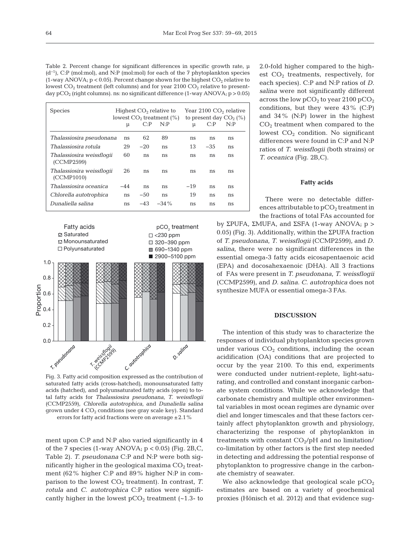Table 2. Percent change for significant differences in specific growth rate,  $\mu$ (d−1), C:P (mol:mol), and N:P (mol:mol) for each of the 7 phytoplankton species (1-way ANOVA;  $p < 0.05$ ). Percent change shown for the highest  $CO<sub>2</sub>$  relative to lowest  $CO<sub>2</sub>$  treatment (left columns) and for year 2100  $CO<sub>2</sub>$  relative to presentday  $pCO_2$  (right columns). ns: no significant difference (1-way ANOVA;  $p > 0.05$ )

| <b>Species</b>                          | μ   | C: P   | Highest $CO2$ relative to<br>lowest $CO2$ treatment $(\%)$<br>N: P | μ     | C: P  | Year $2100$ CO <sub>2</sub> relative<br>to present day $CO2(\%)$<br>N: P |
|-----------------------------------------|-----|--------|--------------------------------------------------------------------|-------|-------|--------------------------------------------------------------------------|
| Thalassiosira pseudonana                | ns  | 62     | 89                                                                 | ns    | ns    | ns                                                                       |
| Thalassiosira rotula                    | 29  | $-20$  | ns                                                                 | 13    | $-35$ | ns                                                                       |
| Thalassiosira weissflogii<br>(CCMP2599) | 60  | ns     | ns                                                                 | ns    | ns    | ns                                                                       |
| Thalassiosira weissflogii<br>(CCMP1010) | 26  | ns     | ns                                                                 | ns    | ns    | ns                                                                       |
| Thalassiosira oceanica                  | -44 | ns     | ns                                                                 | $-19$ | ns    | ns                                                                       |
| Chlorella autotrophica                  | ns  | $-50$  | ns                                                                 | 19    | ns    | ns                                                                       |
| Dunaliella salina                       | ns  | $-4.3$ | $-34\%$                                                            | ns    | ns    | ns                                                                       |



saturated fatty acids (cross-hatched), monounsaturated fatty acids (hatched), and polyunsaturated fatty acids (open) to total fatty acids for *Thalassiosira pseudonana*, *T. weissflogii* (CCMP2559), *Chlorella autotrophica*, and *Dunaliella salina* grown under  $4 \text{ CO}_2$  conditions (see gray scale key). Standard errors for fatty acid fractions were on average  $\pm 2.1$ %

ment upon C:P and N:P also varied significantly in 4 of the  $7$  species (1-way ANOVA;  $p < 0.05$ ) (Fig. 2B,C, Table 2). *T. pseudonana* C:P and N:P were both significantly higher in the geological maxima  $CO<sub>2</sub>$  treatment (62% higher C:P and 89% higher N:P in comparison to the lowest  $CO<sub>2</sub>$  treatment). In contrast, *T*. *rotula* and *C. autotrophica* C:P ratios were significantly higher in the lowest  $pCO<sub>2</sub>$  treatment (~1.3- to 2.0-fold higher compared to the highest  $CO<sub>2</sub>$  treatments, respectively, for each species). C:P and N:P ratios of *D. salina* were not significantly different across the low  $pCO_2$  to year 2100  $pCO_2$ conditions, but they were 43% (C:P) and 34% (N:P) lower in the highest CO2 treatment when compared to the lowest  $CO<sub>2</sub>$  condition. No significant differences were found in C:P and N:P ratios of *T. weissflogii* (both strains) or *T. oceanica* (Fig. 2B,C).

#### **Fatty acids**

There were no detectable differences attributable to  $pCO<sub>2</sub>$  treatment in the fractions of total FAs accounted for

by ΣPUFA, ΣMUFA, and ΣSFA (1-way ANOVA; p > 0.05) (Fig. 3). Additionally, within the ΣPUFA fraction of *T. pseudonana*, *T. weissflogii* (CCMP2599), and *D. salina*, there were no significant differences in the essential omega-3 fatty acids eicosapentaenoic acid (EPA) and docosahexaenoic (DHA). All 3 fractions of FAs were present in *T. pseu do nana*, *T. weissflogii* (CCM P2599), and *D. salina*. *C. auto tro phica* does not synthesize MUFA or essential omega-3 FAs.

#### **DISCUSSION**

The intention of this study was to characterize the responses of individual phytoplankton species grown under various  $CO<sub>2</sub>$  conditions, including the ocean acidification (OA) conditions that are projected to occur by the year 2100. To this end, experiments were conducted under nutrient-replete, light-saturating, and controlled and constant inorganic carbonate system conditions. While we acknowledge that carbonate chemistry and multiple other environmental variables in most ocean regimes are dynamic over diel and longer timescales and that these factors certainly affect phytoplankton growth and physiology, characterizing the response of phytoplankton in treatments with constant  $CO<sub>2</sub>/pH$  and no limitation/ co-limitation by other factors is the first step needed in detecting and addressing the potential response of phytoplankton to progressive change in the carbonate chemistry of seawater.

We also acknowledge that geological scale  $pCO<sub>2</sub>$ estimates are based on a variety of geochemical proxies (Hönisch et al. 2012) and that evidence sug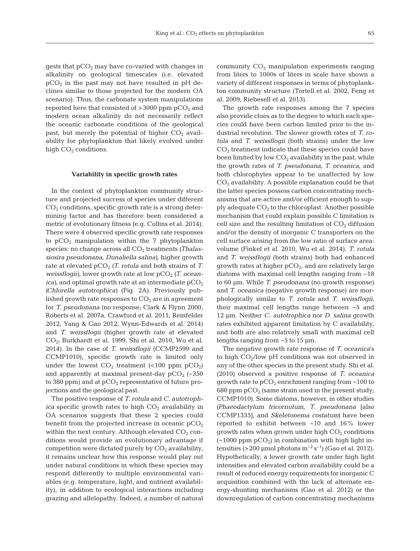gests that  $pCO<sub>2</sub>$  may have co-varied with changes in alkalinity on geological timescales (i.e. elevated  $pCO<sub>2</sub>$  in the past may not have resulted in pH declines similar to those projected for the modern OA scenario). Thus, the carbonate system manipulations reported here that consisted of  $>3000$  ppm pCO<sub>2</sub> and modern ocean alkalinity do not necessarily reflect the oceanic carbonate conditions of the geological past, but merely the potential of higher  $CO<sub>2</sub>$  availability for phytoplankton that likely evolved under high  $CO<sub>2</sub>$  conditions.

#### **Variability in specific growth rates**

In the context of phytoplankton community structure and projected success of species under different  $CO<sub>2</sub>$  conditions, specific growth rate is a strong determining factor and has therefore been considered a metric of evolutionary fitness (e.g. Collins et al. 2014). There were 4 observed specific growth rate responses to  $pCO<sub>2</sub>$  manipulation within the 7 phytoplankton species: no change across all CO<sub>2</sub> treatments (Thalas*siosira pseudonana*, *Dunaliella salina)*, higher growth rate at elevated  $pCO<sub>2</sub>$  *(T. rotula* and both strains of *T. weissflogii*), lower growth rate at low pCO<sub>2</sub> (*T. ocean* $ica$ ), and optimal growth rate at an intermediate  $pCO<sub>2</sub>$ *(Chlorella autotrophica)* (Fig. 2A). Previously published growth rate responses to  $CO<sub>2</sub>$  are in agreement for *T. pseudonana* (no response; Clark & Flynn 2000, Roberts et al. 2007a, Crawfurd et al. 2011, Reinfelder 2012, Yang & Gao 2012, Wynn-Edwards et al. 2014) and *T. weissflogii* (higher growth rate at elevated CO2; Burkhardt et al. 1999, Shi et al. 2010, Wu et al. 2014). In the case of *T. weissflogii* (CCMP2599 and CCMP1010), specific growth rate is limited only under the lowest  $CO_2$  treatment (<100 ppm  $pCO_2$ ) and apparently at maximal present-day  $pCO<sub>2</sub>$  (~350) to 380 ppm) and at  $pCO<sub>2</sub>$  representative of future projections and the geological past.

The positive response of *T. rotula* and *C. autotroph* $ica$  specific growth rates to high  $CO<sub>2</sub>$  availability in OA scenarios suggests that these 2 species could benefit from the projected increase in oceanic  $pCO<sub>2</sub>$ within the next century. Although elevated  $CO<sub>2</sub>$  conditions would provide an evolutionary advantage if competition were dictated purely by  $CO<sub>2</sub>$  availability, it remains unclear how this response would play out under natural conditions in which these species may respond differently to multiple environmental variables (e.g. temperature, light, and nutrient availability), in addition to ecological interactions including grazing and allelopathy. Indeed, a number of natural community  $CO<sub>2</sub>$  manipulation experiments ranging from liters to 1000s of liters in scale have shown a variety of different responses in terms of phytoplankton community structure (Tortell et al. 2002, Feng et al. 2009, Riebesell et al. 2013).

The growth rate responses among the 7 species also provide clues as to the degree to which each species could have been carbon limited prior to the industrial revolution. The slower growth rates of *T. rotula* and *T. weissflogii* (both strains) under the low  $CO<sub>2</sub>$  treatment indicate that these species could have been limited by low  $CO<sub>2</sub>$  availability in the past, while the growth rates of *T. pseudonana*, *T. oceanica*, and both chlorophytes appear to be unaffected by low  $CO<sub>2</sub>$  availability. A possible explanation could be that the latter species possess carbon concentrating mechanisms that are active and/or efficient enough to supply adequate  $CO<sub>2</sub>$  to the chloroplast. Another possible mechanism that could explain possible C limitation is cell size and the resulting limitation of  $CO<sub>2</sub>$  diffusion and/or the density of inorganic C transporters on the cell surface arising from the low ratio of surface area: volume (Finkel et al. 2010, Wu et al. 2014). *T. rotula* and *T. weissflogii* (both strains) both had enhanced growth rates at higher  $pCO<sub>2</sub>$ , and are relatively large diatoms with maximal cell lengths ranging from ~18 to 60 µm. While *T. pseudonana* (no growth response) and *T. oceanica* (negative growth response) are morphologically similar to *T. rotula* and *T. weissflogii*, their maximal cell lengths range between ~5 and 12 µm. Neither *C. autotrophica* nor *D. salina* growth rates exhibited apparent limitation by C availability, and both are also relatively small with maximal cell lengths ranging from ~5 to 15 µm.

The negative growth rate response of *T. oceanica*'s to high  $CO<sub>2</sub>/low$  pH conditions was not observed in any of the other species in the present study. Shi et al. (2010) observed a positive response of *T. oceanica* growth rate to  $pCO<sub>2</sub>$  enrichment ranging from  $\sim$  100 to 680 ppm  $pCO<sub>2</sub>$  (same strain used in the present study; CCMP1010). Some diatoms, however, in other studies *(Phaeodactylum tricornutum*, *T. pseu do nana* [also CCMP1335], and *Skeletonema costatum)* have been reported to exhibit between  $~10$  and  $16\%$  lower growth rates when grown under high  $CO<sub>2</sub>$  conditions  $(-1000 \text{ ppm } pCO<sub>2</sub>)$  in combination with high light intensities (>200 µmol photons m<sup>-2</sup> s<sup>-1</sup>) (Gao et al. 2012). Hypothetically, a lower growth rate under high light intensities and elevated carbon availability could be a result of reduced energy requirements for inorganic C acquisition combined with the lack of alternate energy-shunting mechanisms (Gao et al. 2012) or the downregulation of carbon concentrating mechanisms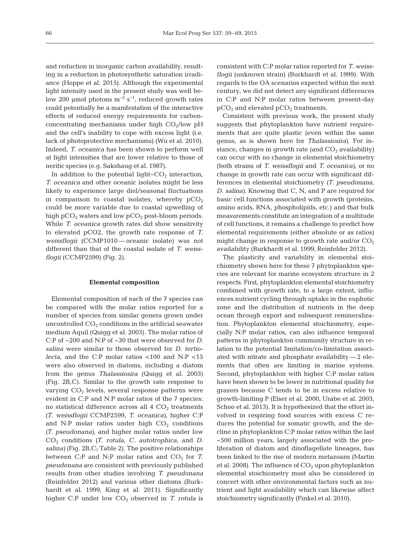and reduction in inorganic carbon availability, resulting in a reduction in photosynthetic saturation irradiance (Hoppe et al. 2015). Although the experimental light intensity used in the present study was well below 200 µmol photons  $m^{-2}$  s<sup>-1</sup>, reduced growth rates could potentially be a manifestation of the interactive effects of reduced energy requirements for carbonconcentrating mechanisms under high  $CO<sub>2</sub>/low$  pH and the cell's inability to cope with excess light (i.e. lack of photoprotective mechanisms) (Wu et al. 2010). Indeed, *T. oceanica* has been shown to perform well at light intensities that are lower relative to those of neritic species (e.g. Sakshaug et al. 1987).

In addition to the potential light– $CO<sub>2</sub>$  interaction, *T. oceanica* and other oceanic isolates might be less likely to experience large diel/seasonal fluctuations in comparison to coastal isolates, whereby  $pCO<sub>2</sub>$ could be more variable due to coastal upwelling of high  $pCO<sub>2</sub>$  waters and low  $pCO<sub>2</sub>$  post-bloom periods. While *T. oceanica* growth rates did show sensitivity to elevated pCO2, the growth rate response of *T. weissflogii* (CCMP1010 — oceanic isolate) was not different than that of the coastal isolate of *T. weissflogii* (CCMP2599) (Fig. 2).

#### **Elemental composition**

Elemental composition of each of the 7 species can be compared with the molar ratios reported for a number of species from similar genera grown under uncontrolled  $CO<sub>2</sub>$  conditions in the artificial seawater medium Aquil (Quigg et al. 2003). The molar ratios of C:P of ~200 and N:P of ~30 that were observed for *D. salina* were similar to those observed for *D. tertio lecta*, and the C:P molar ratios <100 and N:P <15 were also observed in diatoms, including a diatom from the genus *Thalassiosira* (Quigg et al. 2003) (Fig. 2B,C). Similar to the growth rate response to varying  $CO<sub>2</sub>$  levels, several response patterns were evident in C:P and N:P molar ratios of the 7 species: no statistical difference across all  $4$   $CO<sub>2</sub>$  treatments *(T. weissflogii* CCMP2599, *T. oceanica)*, higher C:P and N:P molar ratios under high  $CO<sub>2</sub>$  conditions *(T. pseudonana)*, and higher molar ratios under low CO2 conditions *(T. rotula*, *C. autotrophica*, and *D. salina)* (Fig. 2B,C; Table 2). The positive relationships between C:P and N:P molar ratios and  $CO<sub>2</sub>$  for *T. pseudonana* are consistent with previously published results from other studies involving *T. pseudonana* (Reinfelder 2012) and various other diatoms (Burkhardt et al. 1999, King et al. 2011). Significantly higher C:P under low CO<sub>2</sub> observed in *T. rotula* is consistent with C:P molar ratios reported for *T. weissflogii* (unknown strain) (Burkhardt et al. 1999). With regards to the OA scenarios expected within the next century, we did not detect any significant differences in C:P and N:P molar ratios between present-day  $pCO<sub>2</sub>$  and elevated  $pCO<sub>2</sub>$  treatments.

Consistent with previous work, the present study suggests that phytoplankton have nutrient requirements that are quite plastic (even within the same genus, as is shown here for *Thalassiosira)*. For instance, changes in growth rate (and  $CO<sub>2</sub>$  availability) can occur with no change in elemental stoichiometry (both strains of *T. weissflogii* and *T. oceanica)*, or no change in growth rate can occur with significant differences in elemental stoichiometry (T. pseudonana, *D. salina*). Knowing that C, N, and P are required for basic cell functions associated with growth (proteins, amino acids, RNA, phospholipids, etc.) and that bulk measurements constitute an integration of a multitude of cell functions, it remains a challenge to predict how elemental requirements (either absolute or as ratios) might change in response to growth rate and/or  $CO<sub>2</sub>$ availability (Burkhardt et al. 1999, Reinfelder 2012).

The plasticity and variability in elemental stoichiometry shown here for these 7 phytoplankton species are relevant for marine ecosystem structure in 2 respects. First, phytoplankton elemental stoichiometry combined with growth rate, to a large extent, influences nutrient cycling through uptake in the euphotic zone and the distribution of nutrients in the deep ocean through export and subsequent remineralization. Phytoplankton elemental stoichiometry, especially N:P molar ratios, can also influence temporal patterns in phytoplankton community structure in relation to the potential limitation/co-limitation associated with nitrate and phosphate availability — 2 elements that often are limiting in marine systems. Second, phytoplankton with higher C:P molar ratios have been shown to be lower in nutritional quality for grazers because C tends to be in excess relative to growth-limiting P (Elser et al. 2000, Urabe et al. 2003, Schoo et al. 2013). It is hypothesized that the effort involved in respiring food sources with excess C re duces the potential for somatic growth, and the decline in phytoplankton C:P molar ratios within the last  $\sim$  500 million years, largely associated with the proliferation of diatom and dinoflagellate lineages, has been linked to the rise of modern metazoans (Martin et al. 2008). The influence of  $CO<sub>2</sub>$  upon phytoplankton elemental stoichiometry must also be considered in concert with other environmental factors such as nutrient and light availability which can likewise affect stoichiometry significantly (Finkel et al. 2010).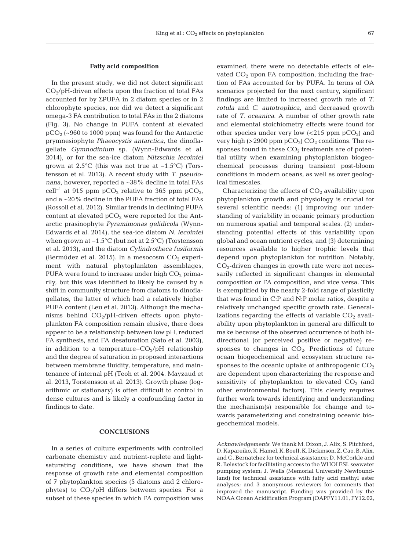#### **Fatty acid composition**

In the present study, we did not detect significant  $CO<sub>2</sub>/pH$ -driven effects upon the fraction of total FAs accounted for by ΣPUFA in 2 diatom species or in 2 chlorophyte species, nor did we detect a significant omega-3 FA contribution to total FAs in the 2 diatoms (Fig. 3). No change in PUFA content at elevated  $pCO<sub>2</sub>$  (~960 to 1000 ppm) was found for the Antarctic prymnesiophyte *Phaeocystis antarctica*, the dinoflagellate *Gymnodinium* sp. (Wynn-Edwards et al. 2014), or for the sea-ice diatom *Nitzschia lecointei* grown at 2.5°C (this was not true at −1.5°C) (Tors tens son et al. 2013). A recent study with *T. pseudo nana*, however, reported a ~38% decline in total FAs cell<sup>-1</sup> at 915 ppm pCO<sub>2</sub> relative to 365 ppm pCO<sub>2</sub>, and a ~20% decline in the PUFA fraction of total FAs (Rossoll et al. 2012). Similar trends in declining PUFA content at elevated  $pCO<sub>2</sub>$  were reported for the Antarctic prasinophyte *Pyramimonas gelidicola* (Wynn-Edwards et al. 2014), the sea-ice diatom *N. lecointei* when grown at −1.5°C (but not at 2.5°C) (Torstensson et al. 2013), and the diatom *Cylindrotheca fusiformis* (Bermúdez et al. 2015). In a mesocosm  $CO<sub>2</sub>$  experiment with natural phytoplankton assemblages, PUFA were found to increase under high  $CO<sub>2</sub>$  primarily, but this was identified to likely be caused by a shift in community structure from diatoms to dinoflagellates, the latter of which had a relatively higher PUFA content (Leu et al. 2013). Although the mechanisms behind  $CO<sub>2</sub>/pH$ -driven effects upon phytoplankton FA composition remain elusive, there does appear to be a relationship between low pH, reduced FA synthesis, and FA desaturation (Sato et al. 2003), in addition to a temperature– $CO<sub>2</sub>/pH$  relationship and the degree of saturation in proposed interactions between membrane fluidity, temperature, and maintenance of internal pH (Teoh et al. 2004, Mayzaud et al. 2013, Torstensson et al. 2013). Growth phase (logarithmic or stationary) is often difficult to control in dense cultures and is likely a confounding factor in findings to date.

#### **CONCLUSIONS**

In a series of culture experiments with controlled carbonate chemistry and nutrient-replete and lightsaturating conditions, we have shown that the response of growth rate and elemental composition of 7 phytoplankton species (5 diatoms and 2 chlorophytes) to  $CO<sub>2</sub>/pH$  differs between species. For a subset of these species in which FA composition was examined, there were no detectable effects of elevated  $CO<sub>2</sub>$  upon FA composition, including the fraction of FAs accounted for by PUFA. In terms of OA scenarios projected for the next century, significant findings are limited to increased growth rate of *T. rotula* and *C. autotrophica*, and decreased growth rate of *T. oceanica*. A number of other growth rate and elemental stoichiometry effects were found for other species under very low  $\left( < 215$  ppm  $pcO<sub>2</sub> \right)$  and very high ( $>$  2900 ppm pCO<sub>2</sub>) CO<sub>2</sub> conditions. The responses found in these  $CO<sub>2</sub>$  treatments are of potential utility when examining phytoplankton biogeochemical processes during transient post-bloom conditions in modern oceans, as well as over geological timescales.

Characterizing the effects of  $CO<sub>2</sub>$  availability upon phytoplankton growth and physiology is crucial for several scientific needs: (1) improving our understanding of variability in oceanic primary production on numerous spatial and temporal scales, (2) understanding potential effects of this variability upon global and ocean nutrient cycles, and (3) determining resources available to higher trophic levels that depend upon phytoplankton for nutrition. Notably,  $CO<sub>2</sub>$ -driven changes in growth rate were not necessarily reflected in significant changes in elemental composition or FA composition, and vice versa. This is exemplified by the nearly 2-fold range of plasticity that was found in C:P and N:P molar ratios, despite a relatively unchanged specific growth rate. Generalizations regarding the effects of variable  $CO<sub>2</sub>$  availability upon phytoplankton in general are difficult to make because of the observed occurrence of both bidirectional (or perceived positive or negative) re sponses to changes in  $CO<sub>2</sub>$ . Predictions of future ocean biogeochemical and ecosystem structure responses to the oceanic uptake of anthropogenic  $CO<sub>2</sub>$ are dependent upon characterizing the response and sensitivity of phytoplankton to elevated  $CO<sub>2</sub>$  (and other environmental factors). This clearly requires further work towards identifying and understanding the mechanism(s) responsible for change and towards parameterizing and constraining oceanic biogeochemical models.

*Acknowledgements.* We thank M. Dixon, J. Alix, S. Pitchford, D.Kapareiko,K.Hamel,K.Boeff,K.Dickinson,Z.Cao,B.Alix, and G. Bernatchez for technical assistance; D. McCorkle and R. Belastock for facilitating access to the WHOI ESL seawater pumping system; J. Wells (Memorial University Newfoundland) for technical assistance with fatty acid methyl ester analyses; and 3 anonymous reviewers for comments that improved the manuscript. Funding was provided by the NOAA Ocean Acidification Program (OAPFY11.01, FY12.02,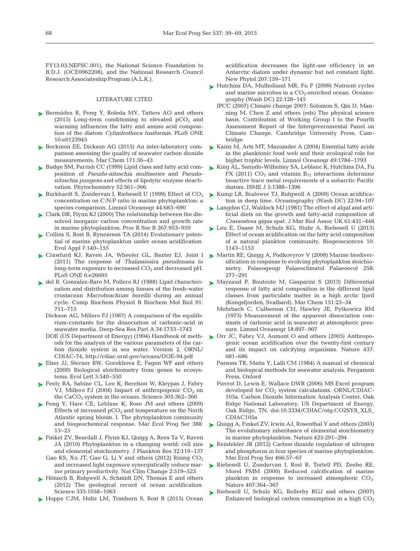FY13.03.NEFSC.001), the National Science Foundation to B.D.J. (OCE0962208), and the National Research Council Research Associateship Program (A.L.K.).

#### LITERATURE CITED

- ► [Bermúdez R, Feng Y, Roleda MY, Tatters AO and others](http://dx.doi.org/10.1371/journal.pone.0123945) (2015) Long-term conditioning to elevated  $pCO<sub>2</sub>$  and warming influences the fatty and amino acid composition of the diatom *Cylindrotheca fusiformis*. PLoS ONE 10: e0123945
- ► [Bockmon EE, Dickson AG \(2015\) An inter-laboratory com](http://dx.doi.org/10.1016/j.marchem.2015.02.002)parison assessing the quality of seawater carbon dioxide measurements. Mar Chem 171:36-43
- ► [Budge SM, Parrish CC \(1999\) Lipid class and fatty acid com](http://dx.doi.org/10.1016/S0031-9422(99)00241-1)position of *Pseudo-nitzschia multiseries* and *Pseudonitzschia pungens* and effects of lipolytic enzyme deactivation. Phytochemistry 52:561-566
- $\blacktriangleright$  Burkhardt S, Zondervan I, Riebesell U (1999) Effect of  $CO<sub>2</sub>$ concentration on C:N:P ratio in marine phytoplankton: a species comparison. Limnol Oceanogr 44:683-690
- [Clark DR, Flynn KJ \(2000\) The relationship between the dis-](http://dx.doi.org/10.1098/rspb.2000.1096)➤ solved inorganic carbon concentration and growth rate in marine phytoplankton. Proc R Soc B 267: 953−959
- ► [Collins S, Rost B, Rynearson TA \(2014\) Evolutionary poten](http://dx.doi.org/10.1111/eva.12120)tial of marine phytoplankton under ocean acidification. Evol Appl 7: 140−155
- [Crawfurd KJ, Raven JA, Wheeler GL, Baxter EJ, Joint I](http://www.ncbi.nlm.nih.gov/entrez/query.fcgi?cmd=Retrieve&db=PubMed&list_uids=22053201&dopt=Abstract) ➤ (2011) The response of *Thalassiosira pseudonana* to long-term exposure to increased  $CO<sub>2</sub>$  and decreased pH. PLoS ONE 6:e26695
- [del R. Gonzalez-Baro M, Pollero RJ \(1988\) Lipid characteri-](http://dx.doi.org/10.1016/0305-0491(88)90197-6)➤ zation and distribution among tissues of the fresh-water crustacean *Macrobrachium borellii* during an annual cycle. Comp Biochem Physiol B Biochem Mol Biol 91: 711−715
	- Dickson AG, Millero FJ (1987) A comparison of the equilibrium-constants for the dissociation of carbonic-acid in seawater media. Deep-Sea Res Part A 34: 1733−1743
	- DOE (US Department of Energy) (1994) Handbook of methods for the analysis of the various parameters of the carbon dioxide system in sea water. Version 2. ORNL/ CDIAC-74, http://cdiac.ornl.gov/oceans/DOE-94.pdf
- ► [Elser JJ, Sterner RW, Gorokhova E, Fagen WF and others](http://dx.doi.org/10.1046/j.1461-0248.2000.00185.x) (2000) Biological stoichiometry from genes to ecosystems. Ecol Lett 3: 540−550
- [Feely RA, Sabine CL, Lee K, Berelson W, Kleypas J, Fabry](http://dx.doi.org/10.1126/science.1097329) ➤ VJ, Millero FJ (2004) Impact of anthropogenic  $CO<sub>2</sub>$  on the CaCO<sub>3</sub> system in the oceans. Science 305:362-366
- ► [Feng Y, Hare CE, Leblanc K, Rose JM and others \(2009\)](http://dx.doi.org/10.3354/meps08133) Effects of increased  $pCO<sub>2</sub>$  and temperature on the North Atlantic spring bloom. I. The phytoplankton community and biogeochemical response. Mar Ecol Prog Ser 388: 13−25
- [Finkel ZV, Beardall J, Flynn KJ, Quigg A, Rees Ta V, Raven](http://dx.doi.org/10.1093/plankt/fbp098) ➤ JA (2010) Phytoplankton in a changing world: cell size and elemental stoichiometry. J Plankton Res 32: 119−137 Gao KS, Xu JT, Gao G, Li Y and others (2012) Rising  $CO<sub>2</sub>$ and increased light exposure synergistically reduce marine primary productivity. Nat Clim Change 2: 519−523
- ► [Hönisch B, Ridgwell A, Schmidt DN, Thomas E and others](http://dx.doi.org/10.1126/science.1208277) (2012) The geological record of ocean acidification. Science 335: 1058−1063
- ► [Hoppe CJM, Holtz LM, Trimborn S, Rost B \(2015\) Ocean](http://dx.doi.org/10.1111/nph.13334)

acidification decreases the light-use efficiency in an Antarctic diatom under dynamic but not constant light. New Phytol 207: 159−171

- ► [Hutchins DA, Mulholland MR, Fu F \(2009\) Nutrient cycles](http://dx.doi.org/10.5670/oceanog.2009.103) and marine microbes in a  $CO<sub>2</sub>$ -enriched ocean. Oceanography (Wash DC) 22: 128−145
	- IPCC (2007) Climate change 2007: Solomon S, Qin D, Manning M, Chen Z and others (eds) The physical science basis. Contribution of Working Group I to the Fourth Assessment Report of the Intergovernmental Panel on Climate Change. Cambridge University Press, Cambridge
- ► [Kainz M, Arts MT, Mazumder A \(2004\) Essential fatty acids](http://dx.doi.org/10.4319/lo.2004.49.5.1784) in the planktonic food web and their ecological role for higher trophic levels. Limnol Oceanogr 49: 1784−1793
- ► [King AL, Sanudo-Wilhelmy SA, Leblanc K, Hutchins DA, Fu](http://dx.doi.org/10.1038/ismej.2010.211) FX (2011)  $CO<sub>2</sub>$  and vitamin  $B<sub>12</sub>$  interactions determine bioactive trace metal requirements of a subarctic Pacific diatom. ISME J 5: 1388−1396
- ► [Kump LR, Bralower TJ, Ridgwell A \(2009\) Ocean acidifica](http://dx.doi.org/10.5670/oceanog.2009.100)tion in deep time. Oceanography (Wash DC) 22:94-107
- [Langdon CJ, Waldock MJ \(1981\) The effect of algal and arti-](http://dx.doi.org/10.1017/S0025315400047056)➤ ficial diets on the growth and fatty-acid composition of *Crassostrea gigas* spat. J Mar Biol Assoc UK 61: 431−448
- ► [Leu E, Daase M, Schulz KG, Stuhr A, Riebesell U \(2013\)](http://dx.doi.org/10.5194/bg-10-1143-2013) Effect of ocean acidification on the fatty acid composition of a natural plankton community. Biogeosciences 10: 1143−1153
- ► Martin RE, Quigg A, Podkovyrov V (2008) Marine biodiver sification in response to evolving phytoplankton stoichio metry. Palaeogeogr Palaeoclimatol Palaeoecol 258: 277−291
- ► [Mayzaud P, Boutoute M, Gasparini S \(2013\) Differential](http://dx.doi.org/10.1016/j.marchem.2013.02.009) response of fatty acid composition in the different lipid classes from particulate matter in a high arctic fjord (Kongsfjorden, Svalbard). Mar Chem 151: 23−34
	- Mehrbach C, Culberson CH, Hawley JE, Pytkowicz RM (1973) Measurement of the apparent dissociation constants of carbonic acid in seawater at atmospheric pressure. Limnol Oceanogr 18:897–907
- ▶ Orr JC, Fabry VJ, Aumont O and others (2005) Anthropogenic ocean acidification over the twenty-first century and its impact on calcifying organisms. Nature 437: 681−686
	- Parsons TR, Maita Y, Lalli CM (1984) A manual of chemical and biological methods for seawater analysis. Pergamon Press, Oxford
	- Pierrot D, Lewis E, Wallace DWR (2006) MS Excel program developed for  $CO<sub>2</sub>$  system calculations. ORNL/CDIAC-105a. Carbon Dioxide Information Analysis Center, Oak Ridge National Laboratory, US Department of Energy, Oak Ridge, TN, doi:10.3334/CDIAC/otg.CO2SYS\_XLS\_ CDIAC105a
- [Quigg A, Finkel ZV, Irwin AJ, Rosenthal Y and others \(2003\)](http://dx.doi.org/10.1038/nature01953) ➤ The evolutionary inheritance of elemental stoichiometry in marine phytoplankton. Nature 425: 291−294
- ▶ [Reinfelder JR \(2012\) Carbon dioxide regulation of nitrogen](http://dx.doi.org/10.3354/meps09905) and phosphorus in four species of marine phytoplankton. Mar Ecol Prog Ser 466:57-67
- ▶ [Riebesell U, Zondervan I, Rost B, Tortell PD, Zeebe RE,](http://dx.doi.org/10.1038/35030078) Morel FMM (2000) Reduced calcification of marine plankton in response to increased atmospheric  $CO<sub>2</sub>$ . Nature 407:364-367
- ▶ [Riebesell U, Schulz KG, Bellerby RGJ and others \(2007\)](http://dx.doi.org/10.1038/nature06267) Enhanced biological carbon consumption in a high  $CO<sub>2</sub>$